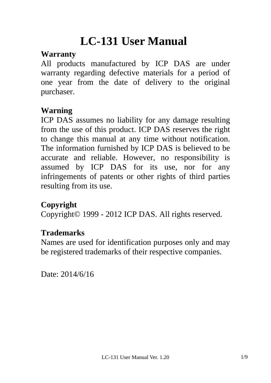# **LC-131 User Manual**

#### **Warranty**

All products manufactured by ICP DAS are under warranty regarding defective materials for a period of one year from the date of delivery to the original purchaser.

### **Warning**

ICP DAS assumes no liability for any damage resulting from the use of this product. ICP DAS reserves the right to change this manual at any time without notification. The information furnished by ICP DAS is believed to be accurate and reliable. However, no responsibility is assumed by ICP DAS for its use, nor for any infringements of patents or other rights of third parties resulting from its use.

### **Copyright**

Copyright© 1999 - 2012 ICP DAS. All rights reserved.

#### **Trademarks**

Names are used for identification purposes only and may be registered trademarks of their respective companies.

Date: 2014/6/16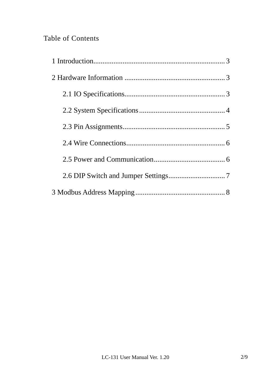#### Table of Contents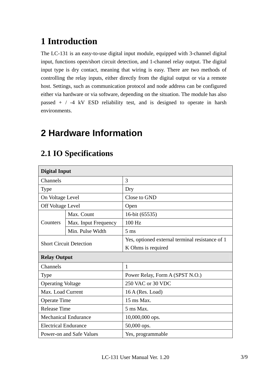### **1 Introduction**

The LC-131 is an easy-to-use digital input module, equipped with 3-channel digital input, functions open/short circuit detection, and 1-channel relay output. The digital input type is dry contact, meaning that wiring is easy. There are two methods of controlling the relay inputs, either directly from the digital output or via a remote host. Settings, such as communication protocol and node address can be configured either via hardware or via software, depending on the situation. The module has also passed  $+$  / -4 kV ESD reliability test, and is designed to operate in harsh environments.

### **2 Hardware Information**

| <b>Digital Input</b>           |                      |                                                 |  |
|--------------------------------|----------------------|-------------------------------------------------|--|
| Channels                       |                      | 3                                               |  |
| <b>Type</b>                    |                      | Dry                                             |  |
| On Voltage Level               |                      | Close to GND                                    |  |
| Off Voltage Level              |                      | Open                                            |  |
|                                | Max. Count           | 16-bit (65535)                                  |  |
| Counters                       | Max. Input Frequency | 100 Hz                                          |  |
|                                | Min. Pulse Width     | $5 \text{ ms}$                                  |  |
|                                |                      | Yes, optioned external terminal resistance of 1 |  |
| <b>Short Circuit Detection</b> |                      | K Ohms is required                              |  |
| <b>Relay Output</b>            |                      |                                                 |  |
| Channels                       |                      | $\mathbf{1}$                                    |  |
| <b>Type</b>                    |                      | Power Relay, Form A (SPST N.O.)                 |  |
| <b>Operating Voltage</b>       |                      | 250 VAC or 30 VDC                               |  |
| Max. Load Current              |                      | 16 A (Res. Load)                                |  |
| <b>Operate Time</b>            |                      | 15 ms Max.                                      |  |
| <b>Release Time</b>            |                      | 5 ms Max.                                       |  |
| <b>Mechanical Endurance</b>    |                      | 10,000,000 ops.                                 |  |
| <b>Electrical Endurance</b>    |                      | 50,000 ops.                                     |  |
| Power-on and Safe Values       |                      | Yes, programmable                               |  |

#### **2.1 IO Specifications**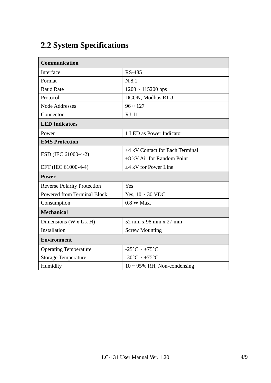### **2.2 System Specifications**

| <b>Communication</b>               |                                   |  |  |
|------------------------------------|-----------------------------------|--|--|
| Interface                          | <b>RS-485</b>                     |  |  |
| Format                             | N, 8, 1                           |  |  |
| <b>Baud Rate</b>                   | $1200 \sim 115200$ bps            |  |  |
| Protocol                           | DCON, Modbus RTU                  |  |  |
| Node Addresses                     | $96 \sim 127$                     |  |  |
| Connector                          | $RJ-11$                           |  |  |
| <b>LED</b> Indicators              |                                   |  |  |
| Power                              | 1 LED as Power Indicator          |  |  |
| <b>EMS Protection</b>              |                                   |  |  |
|                                    | ±4 kV Contact for Each Terminal   |  |  |
| ESD (IEC 61000-4-2)                | $\pm 8$ kV Air for Random Point   |  |  |
| EFT (IEC 61000-4-4)                | $\pm 4$ kV for Power Line         |  |  |
| <b>Power</b>                       |                                   |  |  |
| <b>Reverse Polarity Protection</b> | Yes                               |  |  |
| <b>Powered from Terminal Block</b> | Yes, $10 \sim 30$ VDC             |  |  |
| Consumption                        | 0.8 W Max.                        |  |  |
| <b>Mechanical</b>                  |                                   |  |  |
| Dimensions (W x L x H)             | 52 mm x 98 mm x 27 mm             |  |  |
| Installation                       | <b>Screw Mounting</b>             |  |  |
| <b>Environment</b>                 |                                   |  |  |
| <b>Operating Temperature</b>       | $-25^{\circ}$ C ~ $+75^{\circ}$ C |  |  |
| <b>Storage Temperature</b>         | $-30^{\circ}$ C ~ $+75^{\circ}$ C |  |  |
| Humidity                           | $10 \sim 95\%$ RH, Non-condensing |  |  |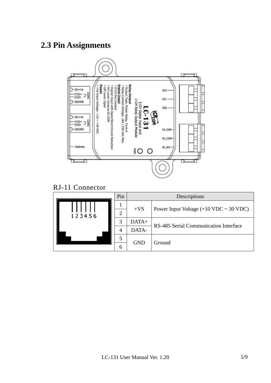#### **2.3 Pin Assignments**



RJ-11 Connector

|  |        | Pin | Descriptions |                                          |  |
|--|--------|-----|--------------|------------------------------------------|--|
|  | 123456 |     | $+VS$        | Power Input Voltage $(+10$ VDC ~ 30 VDC) |  |
|  |        | ◠   |              |                                          |  |
|  |        | 2   | $DATA+$      | RS-485 Serial Communication Interface    |  |
|  |        |     | DATA-        |                                          |  |
|  |        |     | <b>GND</b>   | Ground                                   |  |
|  |        | 6   |              |                                          |  |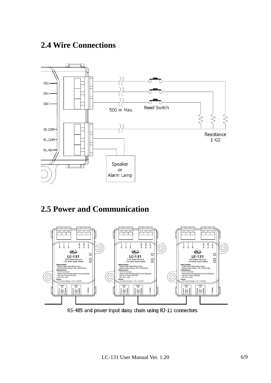#### **2.4 Wire Connections**



#### **2.5 Power and Communication**



RS-485 and power input daisy chain using RJ-11 connectors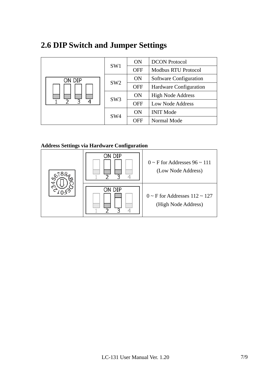#### **2.6 DIP Switch and Jumper Settings**

|        |                 | <b>ON</b>  | <b>DCON</b> Protocol          |
|--------|-----------------|------------|-------------------------------|
|        | SW1             | <b>OFF</b> | <b>Modbus RTU Protocol</b>    |
| on dip | SW <sub>2</sub> | <b>ON</b>  | Software Configuration        |
|        |                 | <b>OFF</b> | <b>Hardware Configuration</b> |
|        | SW <sub>3</sub> | <b>ON</b>  | <b>High Node Address</b>      |
| ς      |                 | <b>OFF</b> | Low Node Address              |
|        | SW <sub>4</sub> | <b>ON</b>  | <b>INIT Mode</b>              |
|        |                 | <b>OFF</b> | Normal Mode                   |

#### **Address Settings via Hardware Configuration**

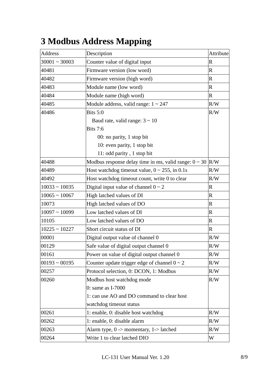| Address             | Description                                                    | Attribute      |
|---------------------|----------------------------------------------------------------|----------------|
| $30001 - 30003$     | Counter value of digital input                                 | $\mathbf R$    |
| 40481               | Firmware version (low word)                                    | $\mathbf R$    |
| 40482               | Firmware version (high word)                                   | $\mathbf R$    |
| 40483               | Module name (low word)                                         | $\mathbf R$    |
| 40484               | Module name (high word)                                        | $\overline{R}$ |
| 40485               | Module address, valid range: $1 \sim 247$                      | R/W            |
| 40486               | Bits $5:0$                                                     | R/W            |
|                     | Baud rate, valid range: $3 \sim 10$                            |                |
|                     | <b>Bits 7:6</b>                                                |                |
|                     | 00: no parity, 1 stop bit                                      |                |
|                     | 10: even parity, 1 stop bit                                    |                |
|                     | 11: odd parity, 1 stop bit                                     |                |
| 40488               | Modbus response delay time in ms, valid range: $0 \sim 30$ R/W |                |
| 40489               | Host watchdog timeout value, $0 \sim 255$ , in 0.1s            | R/W            |
| 40492               | Host watchdog timeout count, write 0 to clear                  | R/W            |
| $10033 - 10035$     | Digital input value of channel $0 \sim 2$                      | $\mathbf R$    |
| $10065 \sim 10067$  | High latched values of DI                                      | $\mathbf R$    |
| 10073               | High latched values of DO                                      | $\mathbf R$    |
| $10097 \sim 10099$  | Low latched values of DI                                       | $\mathbf R$    |
| 10105               | Low latched values of DO                                       | $\mathbf R$    |
| $10225 - 10227$     | Short circuit status of DI                                     | $\mathbf R$    |
| 00001               | Digital output value of channel 0                              | R/W            |
| 00129               | Safe value of digital output channel 0                         | R/W            |
| 00161               | Power on value of digital output channel 0                     | R/W            |
| $ 00193 \sim 00195$ | Counter update trigger edge of channel $0 \sim 2$              | R/W            |
| 00257               | Protocol selection, 0: DCON, 1: Modbus                         | R/W            |
| 00260               | Modbus host watchdog mode                                      | R/W            |
|                     | 0: same as I-7000                                              |                |
|                     | 1: can use AO and DO command to clear host                     |                |
|                     | watchdog timeout status                                        |                |
| 00261               | 1: enable, 0: disable host watchdog                            | R/W            |
| 00262               | 1: enable, 0: disable alarm                                    | R/W            |
| 00263               | Alarm type, $0 \rightarrow$ momentary, $1 \rightarrow$ latched | R/W            |
| 00264               | Write 1 to clear latched DIO                                   | W              |

## **3 Modbus Address Mapping**